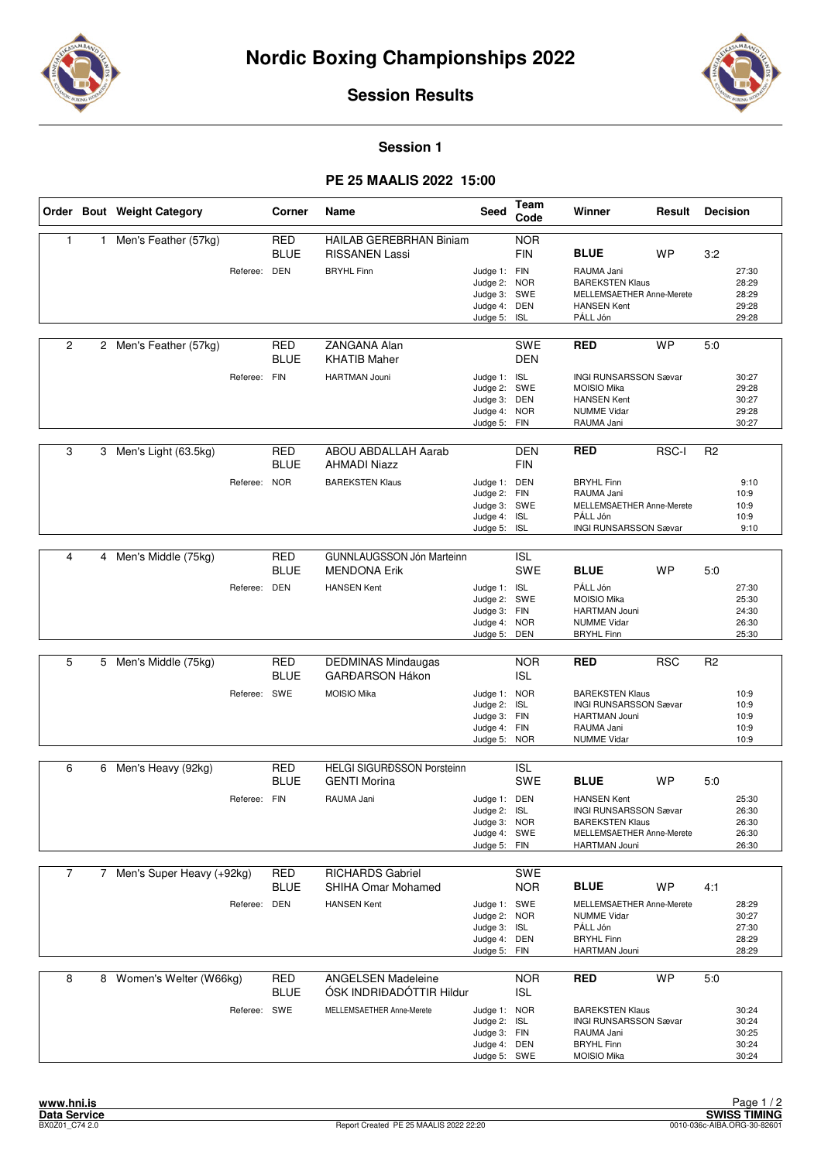



**Session 1**

#### **PE 25 MAALIS 2022 15:00**

|                |   | Order Bout Weight Category  |              | Corner                    | Name                                                  | <b>Seed</b>                                                                  | Team<br>Code                    | Winner                                                                                                                     | Result       | <b>Decision</b> |                                           |
|----------------|---|-----------------------------|--------------|---------------------------|-------------------------------------------------------|------------------------------------------------------------------------------|---------------------------------|----------------------------------------------------------------------------------------------------------------------------|--------------|-----------------|-------------------------------------------|
| 1              | 1 | Men's Feather (57kg)        |              | <b>RED</b><br><b>BLUE</b> | HAILAB GEREBRHAN Biniam<br><b>RISSANEN Lassi</b>      |                                                                              | <b>NOR</b><br><b>FIN</b>        | <b>BLUE</b>                                                                                                                | <b>WP</b>    | 3:2             |                                           |
|                |   |                             | Referee: DEN |                           | <b>BRYHL Finn</b>                                     | Judge 1: FIN<br>Judge 2: NOR<br>Judge 3: SWE<br>Judge 4: DEN<br>Judge 5: ISL |                                 | RAUMA Jani<br><b>BAREKSTEN Klaus</b><br>MELLEMSAETHER Anne-Merete<br><b>HANSEN Kent</b><br>PÁLL Jón                        |              |                 | 27:30<br>28:29<br>28:29<br>29:28<br>29:28 |
| 2              |   | 2 Men's Feather (57kg)      |              | <b>RED</b><br><b>BLUE</b> | ZANGANA Alan<br><b>KHATIB Maher</b>                   |                                                                              | <b>SWE</b><br><b>DEN</b>        | <b>RED</b>                                                                                                                 | <b>WP</b>    | 5:0             |                                           |
|                |   |                             | Referee: FIN |                           | <b>HARTMAN Jouni</b>                                  | Judge 1: ISL<br>Judge 2: SWE<br>Judge 3: DEN<br>Judge 4:<br>Judge 5: FIN     | <b>NOR</b>                      | <b>INGI RUNSARSSON Sævar</b><br><b>MOISIO Mika</b><br><b>HANSEN Kent</b><br><b>NUMME Vidar</b><br>RAUMA Jani               |              |                 | 30:27<br>29:28<br>30:27<br>29:28<br>30:27 |
| 3              |   | 3 Men's Light (63.5kg)      |              | <b>RED</b><br><b>BLUE</b> | <b>ABOU ABDALLAH Aarab</b><br><b>AHMADI Niazz</b>     |                                                                              | <b>DEN</b><br><b>FIN</b>        | <b>RED</b>                                                                                                                 | <b>RSC-I</b> | R <sub>2</sub>  |                                           |
|                |   |                             | Referee: NOR |                           | <b>BAREKSTEN Klaus</b>                                | Judge 1: DEN<br>Judge 2: FIN<br>Judge 3: SWE<br>Judge 4: ISL<br>Judge 5:     | <b>ISL</b>                      | <b>BRYHL Finn</b><br>RAUMA Jani<br>MELLEMSAETHER Anne-Merete<br>PÁLL Jón<br>INGI RUNSARSSON Sævar                          |              |                 | 9:10<br>10:9<br>10:9<br>10:9<br>9:10      |
|                |   |                             |              |                           |                                                       |                                                                              |                                 |                                                                                                                            |              |                 |                                           |
| 4              |   | 4 Men's Middle (75kg)       |              | <b>RED</b><br><b>BLUE</b> | GUNNLAUGSSON Jón Marteinn<br><b>MENDONA Erik</b>      |                                                                              | <b>ISL</b><br>SWE               | <b>BLUE</b>                                                                                                                | WP           | 5:0             |                                           |
|                |   |                             | Referee: DEN |                           | <b>HANSEN Kent</b>                                    | Judge 1: ISL<br>Judge 2: SWE<br>Judge 3: FIN<br>Judge 4: NOR<br>Judge 5:     | DEN                             | PÁLL Jón<br><b>MOISIO Mika</b><br><b>HARTMAN Jouni</b><br><b>NUMME Vidar</b><br><b>BRYHL Finn</b>                          |              |                 | 27:30<br>25:30<br>24:30<br>26:30<br>25:30 |
|                |   |                             |              |                           |                                                       |                                                                              |                                 |                                                                                                                            |              |                 |                                           |
| 5              |   | 5 Men's Middle (75kg)       |              | <b>RED</b><br><b>BLUE</b> | <b>DEDMINAS Mindaugas</b><br><b>GARĐARSON Hákon</b>   |                                                                              | <b>NOR</b><br><b>ISL</b>        | <b>RED</b>                                                                                                                 | <b>RSC</b>   | R <sub>2</sub>  |                                           |
|                |   |                             | Referee: SWE |                           | <b>MOISIO Mika</b>                                    | Judge 1: NOR<br>Judge 2:<br>Judge 3: FIN<br>Judge 4: FIN<br>Judge 5: NOR     | <b>ISL</b>                      | <b>BAREKSTEN Klaus</b><br><b>INGI RUNSARSSON Sævar</b><br><b>HARTMAN Jouni</b><br>RAUMA Jani<br><b>NUMME Vidar</b>         |              |                 | 10:9<br>10:9<br>10:9<br>10:9<br>10:9      |
| 6              |   | 6 Men's Heavy (92kg)        |              | <b>RED</b>                | <b>HELGI SIGURÐSSON Porsteinn</b>                     |                                                                              | <b>ISL</b>                      |                                                                                                                            |              |                 |                                           |
|                |   |                             |              | <b>BLUE</b>               | <b>GENTI Morina</b>                                   |                                                                              | SWE                             | <b>BLUE</b>                                                                                                                | <b>WP</b>    | 5:0             |                                           |
|                |   |                             | Referee: FIN |                           | RAUMA Jani                                            | Judge 1: DEN<br>Judge 2: ISL<br>Judge 3: NOR<br>Judge 4: SWE<br>Judge 5: FIN |                                 | <b>HANSEN Kent</b><br><b>INGI RUNSARSSON Sævar</b><br><b>BAREKSTEN Klaus</b><br>MELLEMSAETHER Anne-Merete<br>HARTMAN Jouni |              |                 | 25:30<br>26:30<br>26:30<br>26:30<br>26:30 |
| $\overline{7}$ |   | 7 Men's Super Heavy (+92kg) |              | RED<br>BLUE               | <b>RICHARDS Gabriel</b><br>SHIHA Omar Mohamed         |                                                                              | SWE<br><b>NOR</b>               | <b>BLUE</b>                                                                                                                | WP           | 4:1             |                                           |
|                |   |                             | Referee: DEN |                           | <b>HANSEN Kent</b>                                    | Judge 1: SWE<br>Judge 2:<br>Judge 3:<br>Judge 4: DEN<br>Judge 5:             | <b>NOR</b><br><b>ISL</b><br>FIN | MELLEMSAETHER Anne-Merete<br><b>NUMME Vidar</b><br>PÁLL Jón<br><b>BRYHL Finn</b><br><b>HARTMAN Jouni</b>                   |              |                 | 28:29<br>30:27<br>27:30<br>28:29<br>28:29 |
| 8              |   | 8 Women's Welter (W66kg)    |              | RED<br><b>BLUE</b>        | <b>ANGELSEN Madeleine</b><br>ÓSK INDRIÐADÓTTIR Hildur |                                                                              | <b>NOR</b><br><b>ISL</b>        | RED                                                                                                                        | <b>WP</b>    | 5:0             |                                           |
|                |   |                             | Referee: SWE |                           | MELLEMSAETHER Anne-Merete                             | Judge 1: NOR<br>Judge 2: ISL<br>Judge 3: FIN<br>Judge 4: DEN<br>Judge 5: SWE |                                 | <b>BAREKSTEN Klaus</b><br><b>INGI RUNSARSSON Sævar</b><br>RAUMA Jani<br><b>BRYHL Finn</b><br>MOISIO Mika                   |              |                 | 30:24<br>30:24<br>30:25<br>30:24<br>30:24 |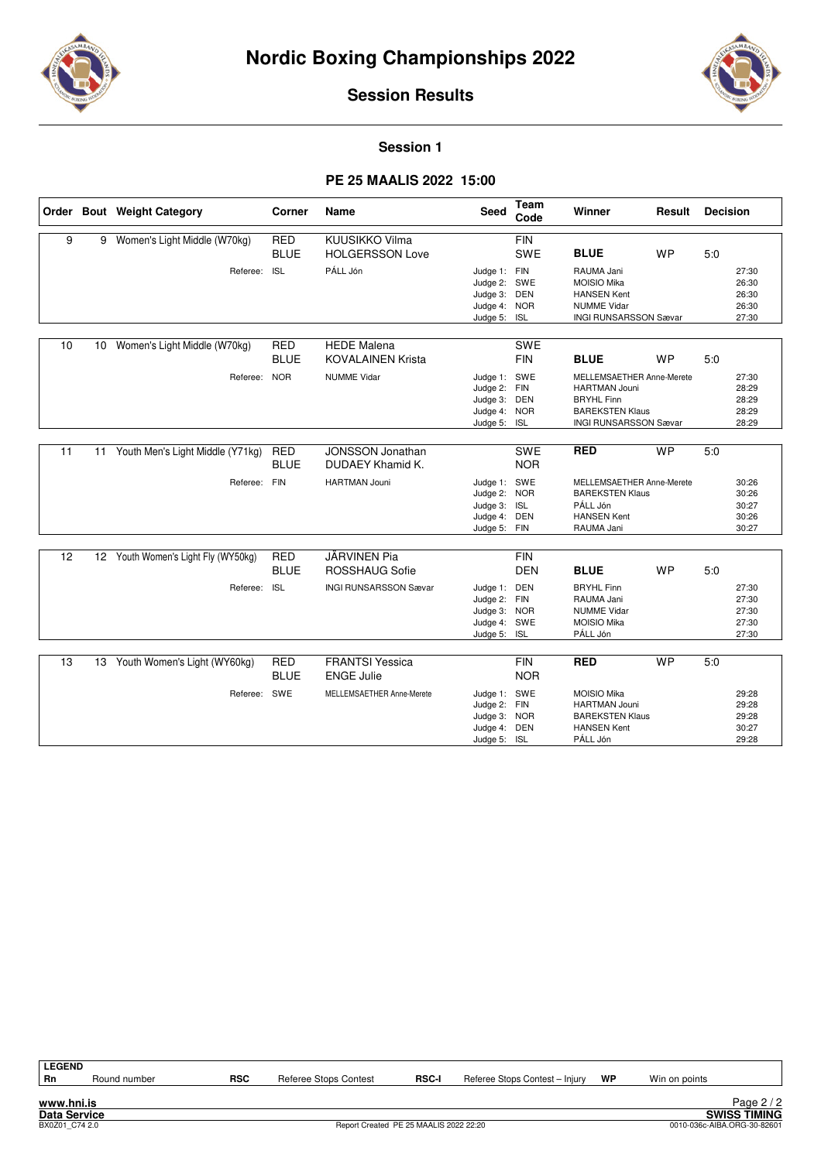



**Session 1**

#### **PE 25 MAALIS 2022 15:00**

|    |                 | Order Bout Weight Category          | Corner                    | Name                                           | Seed                                                                         | <b>Team</b><br>Code      | Winner                                                                                                                           | Result    | <b>Decision</b> |                                           |
|----|-----------------|-------------------------------------|---------------------------|------------------------------------------------|------------------------------------------------------------------------------|--------------------------|----------------------------------------------------------------------------------------------------------------------------------|-----------|-----------------|-------------------------------------------|
| 9  |                 | 9 Women's Light Middle (W70kg)      | <b>RED</b><br><b>BLUE</b> | KUUSIKKO Vilma<br><b>HOLGERSSON Love</b>       |                                                                              | <b>FIN</b><br>SWE        | <b>BLUE</b>                                                                                                                      | <b>WP</b> | 5.0             |                                           |
|    |                 | Referee:                            | <b>ISL</b>                | PÁLL Jón                                       | Judge 1: FIN<br>Judge 2: SWE<br>Judge 3: DEN<br>Judge 4:<br>Judge 5: ISL     | <b>NOR</b>               | RAUMA Jani<br><b>MOISIO Mika</b><br><b>HANSEN Kent</b><br><b>NUMME Vidar</b><br><b>INGI RUNSARSSON Sævar</b>                     |           |                 | 27:30<br>26:30<br>26:30<br>26:30<br>27:30 |
| 10 | 10 <sup>1</sup> | Women's Light Middle (W70kg)        | <b>RED</b><br><b>BLUE</b> | <b>HEDE Malena</b><br><b>KOVALAINEN Krista</b> |                                                                              | <b>SWE</b><br><b>FIN</b> | <b>BLUE</b>                                                                                                                      | <b>WP</b> | 5.0             |                                           |
|    |                 | Referee:                            | <b>NOR</b>                | <b>NUMME Vidar</b>                             | Judge 1: SWE<br>Judge 2: FIN<br>Judge 3: DEN<br>Judge 4: NOR<br>Judge 5: ISL |                          | MELLEMSAETHER Anne-Merete<br><b>HARTMAN Jouni</b><br><b>BRYHL Finn</b><br><b>BAREKSTEN Klaus</b><br><b>INGI RUNSARSSON Sævar</b> |           |                 | 27:30<br>28:29<br>28:29<br>28:29<br>28:29 |
| 11 | 11              | Youth Men's Light Middle (Y71kg)    | <b>RED</b><br><b>BLUE</b> | <b>JONSSON Jonathan</b><br>DUDAEY Khamid K.    |                                                                              | <b>SWE</b><br><b>NOR</b> | <b>RED</b>                                                                                                                       | <b>WP</b> | 5:0             |                                           |
|    |                 | Referee: FIN                        |                           | <b>HARTMAN Jouni</b>                           | Judge 1: SWE<br>Judge 2: NOR<br>Judge 3: ISL<br>Judge 4: DEN<br>Judge 5: FIN |                          | MELLEMSAETHER Anne-Merete<br><b>BAREKSTEN Klaus</b><br>PÁLL Jón<br><b>HANSEN Kent</b><br>RAUMA Jani                              |           |                 | 30:26<br>30:26<br>30:27<br>30:26<br>30:27 |
| 12 |                 | 12 Youth Women's Light Fly (WY50kg) | <b>RED</b><br><b>BLUE</b> | JÄRVINEN Pia<br><b>ROSSHAUG Sofie</b>          |                                                                              | <b>FIN</b><br><b>DEN</b> | <b>BLUE</b>                                                                                                                      | <b>WP</b> | 5:0             |                                           |
|    |                 | Referee: ISL                        |                           | <b>INGI RUNSARSSON Sævar</b>                   | Judge 1: DEN<br>Judge 2: FIN<br>Judge 3: NOR<br>Judge 4: SWE<br>Judge 5: ISL |                          | <b>BRYHL Finn</b><br>RAUMA Jani<br><b>NUMME Vidar</b><br><b>MOISIO Mika</b><br>PÁLL Jón                                          |           |                 | 27:30<br>27:30<br>27:30<br>27:30<br>27:30 |
| 13 |                 | 13 Youth Women's Light (WY60kg)     | <b>RED</b><br><b>BLUE</b> | <b>FRANTSI Yessica</b><br><b>ENGE Julie</b>    |                                                                              | <b>FIN</b><br><b>NOR</b> | <b>RED</b>                                                                                                                       | <b>WP</b> | 5:0             |                                           |
|    |                 | Referee: SWE                        |                           | MELLEMSAETHER Anne-Merete                      | Judge 1: SWE<br>Judge 2: FIN<br>Judge 3: NOR<br>Judge 4: DEN<br>Judge 5: ISL |                          | <b>MOISIO Mika</b><br><b>HARTMAN Jouni</b><br><b>BAREKSTEN Klaus</b><br><b>HANSEN Kent</b><br>PÁLL Jón                           |           |                 | 29:28<br>29:28<br>29:28<br>30:27<br>29:28 |

**LEGEND**<br>Rn **Rn** Round number **RSC** Referee Stops Contest **RSC-I** Referee Stops Contest – Injury **WP** Win on points Page 2/2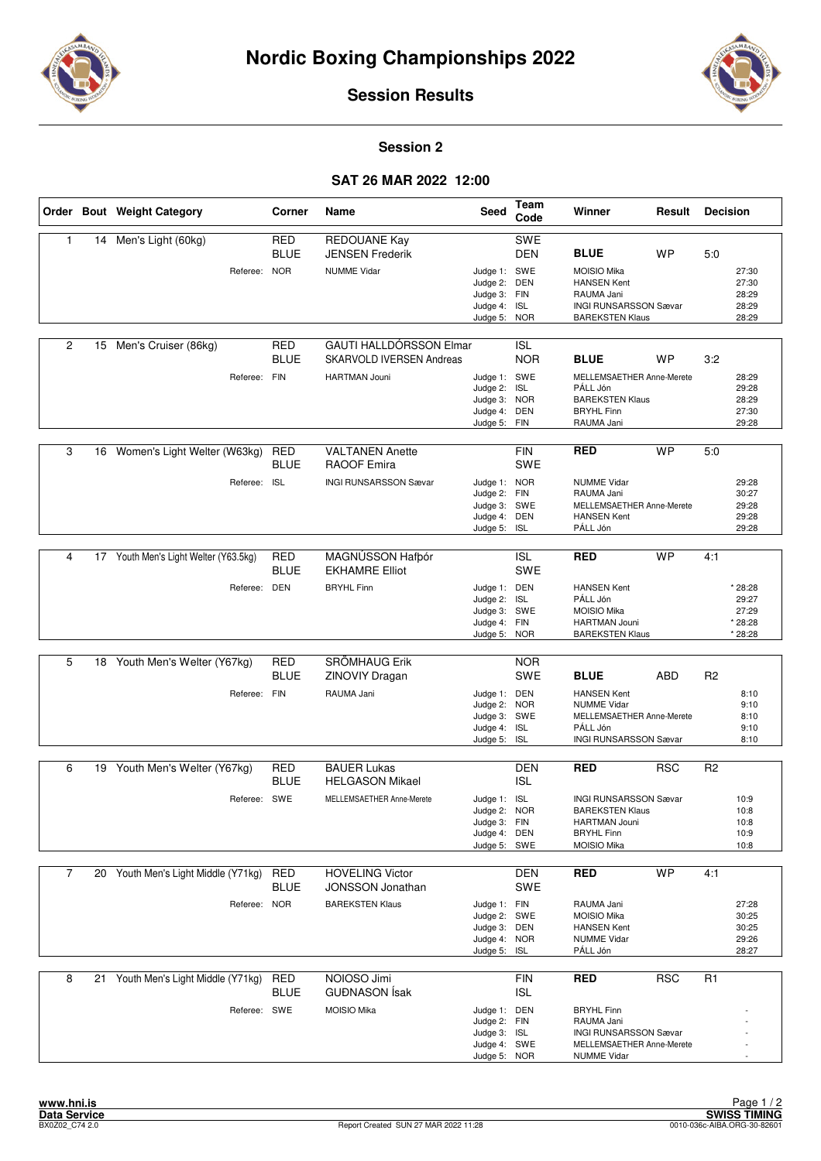



### **Session 2**

# **SAT 26 MAR 2022 12:00**

|                |    | Order Bout Weight Category            | Corner                    | Name                                                              | Seed                                                                         | Team<br>Code             | Winner                                                                                                                    | Result     | <b>Decision</b> |                                                 |
|----------------|----|---------------------------------------|---------------------------|-------------------------------------------------------------------|------------------------------------------------------------------------------|--------------------------|---------------------------------------------------------------------------------------------------------------------------|------------|-----------------|-------------------------------------------------|
| 1              | 14 | Men's Light (60kg)                    | <b>RED</b><br><b>BLUE</b> | REDOUANE Kay<br><b>JENSEN Frederik</b>                            |                                                                              | SWE<br>DEN               | <b>BLUE</b>                                                                                                               | <b>WP</b>  | 5:0             |                                                 |
|                |    | Referee: NOR                          |                           | <b>NUMME Vidar</b>                                                | Judge 1: SWE<br>Judge 2: DEN<br>Judge 3: FIN<br>Judge 4: ISL<br>Judge 5: NOR |                          | <b>MOISIO Mika</b><br><b>HANSEN Kent</b><br>RAUMA Jani<br><b>INGI RUNSARSSON Sævar</b><br><b>BAREKSTEN Klaus</b>          |            |                 | 27:30<br>27:30<br>28:29<br>28:29<br>28:29       |
| 2              | 15 | Men's Cruiser (86kg)                  | <b>RED</b><br><b>BLUE</b> | <b>GAUTI HALLDÓRSSON Elmar</b><br><b>SKARVOLD IVERSEN Andreas</b> |                                                                              | <b>ISL</b><br><b>NOR</b> | <b>BLUE</b>                                                                                                               | WP         | 3:2             |                                                 |
|                |    | Referee: FIN                          |                           | <b>HARTMAN Jouni</b>                                              | Judge 1: SWE<br>Judge 2: ISL<br>Judge 3: NOR<br>Judge 4:<br>Judge 5: FIN     | DEN                      | MELLEMSAETHER Anne-Merete<br>PÁLL Jón<br><b>BAREKSTEN Klaus</b><br><b>BRYHL Finn</b><br>RAUMA Jani                        |            |                 | 28:29<br>29:28<br>28:29<br>27:30<br>29:28       |
| 3              | 16 | Women's Light Welter (W63kg)          | RED<br><b>BLUE</b>        | <b>VALTANEN Anette</b><br><b>RAOOF Emira</b>                      |                                                                              | <b>FIN</b><br>SWE        | <b>RED</b>                                                                                                                | <b>WP</b>  | 5:0             |                                                 |
|                |    | Referee: ISL                          |                           | <b>INGI RUNSARSSON Sævar</b>                                      | Judge 1: NOR<br>Judge 2: FIN<br>Judge 3: SWE<br>Judge 4: DEN<br>Judge 5:     | <b>ISL</b>               | <b>NUMME Vidar</b><br>RAUMA Jani<br>MELLEMSAETHER Anne-Merete<br><b>HANSEN Kent</b><br>PÁLL Jón                           |            |                 | 29:28<br>30:27<br>29:28<br>29:28<br>29:28       |
| 4              |    | 17 Youth Men's Light Welter (Y63.5kg) | RED                       | MAGNÚSSON Hafbór                                                  |                                                                              | <b>ISL</b>               | <b>RED</b>                                                                                                                | <b>WP</b>  | 4:1             |                                                 |
|                |    |                                       | <b>BLUE</b>               | <b>EKHAMRE Elliot</b>                                             |                                                                              | SWE                      |                                                                                                                           |            |                 |                                                 |
|                |    | Referee: DEN                          |                           | <b>BRYHL Finn</b>                                                 | Judge 1: DEN<br>Judge 2: ISL<br>Judge 3: SWE<br>Judge 4: FIN<br>Judge 5: NOR |                          | <b>HANSEN Kent</b><br>PÁLL Jón<br><b>MOISIO Mika</b><br><b>HARTMAN Jouni</b><br><b>BAREKSTEN Klaus</b>                    |            |                 | * 28:28<br>29:27<br>27:29<br>* 28:28<br>* 28:28 |
|                |    |                                       |                           |                                                                   |                                                                              |                          |                                                                                                                           |            |                 |                                                 |
| 5              |    | 18 Youth Men's Welter (Y67kg)         | <b>RED</b><br><b>BLUE</b> | SRÖMHAUG Erik<br>ZINOVIY Dragan                                   |                                                                              | <b>NOR</b><br>SWE        | <b>BLUE</b>                                                                                                               | ABD        | R <sub>2</sub>  |                                                 |
|                |    | Referee: FIN                          |                           | RAUMA Jani                                                        | Judge 1: DEN<br>Judge 2: NOR<br>Judge 3: SWE<br>Judge 4: ISL<br>Judge 5: ISL |                          | <b>HANSEN Kent</b><br><b>NUMME Vidar</b><br>MELLEMSAETHER Anne-Merete<br>PÁLL Jón<br><b>INGI RUNSARSSON Sævar</b>         |            |                 | 8:10<br>9:10<br>8:10<br>9:10<br>8:10            |
| 6              |    | 19 Youth Men's Welter (Y67kg)         | <b>RED</b>                | <b>BAUER Lukas</b>                                                |                                                                              | <b>DEN</b>               | <b>RED</b>                                                                                                                | <b>RSC</b> | R <sub>2</sub>  |                                                 |
|                |    |                                       | <b>BLUE</b>               | <b>HELGASON Mikael</b>                                            |                                                                              | <b>ISL</b>               |                                                                                                                           |            |                 |                                                 |
|                |    | Referee: SWE                          |                           | MELLEMSAETHER Anne-Merete                                         | Judge 1: ISL<br>Judge 2: NOR<br>Judge 3: FIN<br>Judge 4: DEN<br>Judge 5: SWE |                          | <b>INGI RUNSARSSON Sævar</b><br><b>BAREKSTEN Klaus</b><br><b>HARTMAN Jouni</b><br><b>BRYHL Finn</b><br><b>MOISIO Mika</b> |            |                 | 10:9<br>10:8<br>10:8<br>10:9<br>10:8            |
| $\overline{7}$ |    | 20 Youth Men's Light Middle (Y71kg)   | <b>RED</b>                | <b>HOVELING Victor</b>                                            |                                                                              | <b>DEN</b>               | <b>RED</b>                                                                                                                | <b>WP</b>  | 4:1             |                                                 |
|                |    | Referee: NOR                          | BLUE                      | <b>JONSSON Jonathan</b><br><b>BAREKSTEN Klaus</b>                 | Judge 1: FIN                                                                 | SWE                      | RAUMA Jani                                                                                                                |            |                 | 27:28                                           |
|                |    |                                       |                           |                                                                   | Judge 2: SWE<br>Judge 3: DEN<br>Judge 4: NOR<br>Judge 5: ISL                 |                          | MOISIO Mika<br><b>HANSEN Kent</b><br><b>NUMME Vidar</b><br>PÁLL Jón                                                       |            |                 | 30:25<br>30:25<br>29:26<br>28:27                |
| 8              |    | 21 Youth Men's Light Middle (Y71kg)   | <b>RED</b><br><b>BLUE</b> | NOIOSO Jimi<br><b>GUĐNASON</b> Ísak                               |                                                                              | <b>FIN</b><br><b>ISL</b> | <b>RED</b>                                                                                                                | <b>RSC</b> | R1              |                                                 |
|                |    | Referee: SWE                          |                           | <b>MOISIO Mika</b>                                                | Judge 1: DEN<br>Judge 2: FIN<br>Judge 3: ISL<br>Judge 4: SWE<br>Judge 5: NOR |                          | <b>BRYHL Finn</b><br>RAUMA Jani<br><b>INGI RUNSARSSON Sævar</b><br>MELLEMSAETHER Anne-Merete<br><b>NUMME Vidar</b>        |            |                 |                                                 |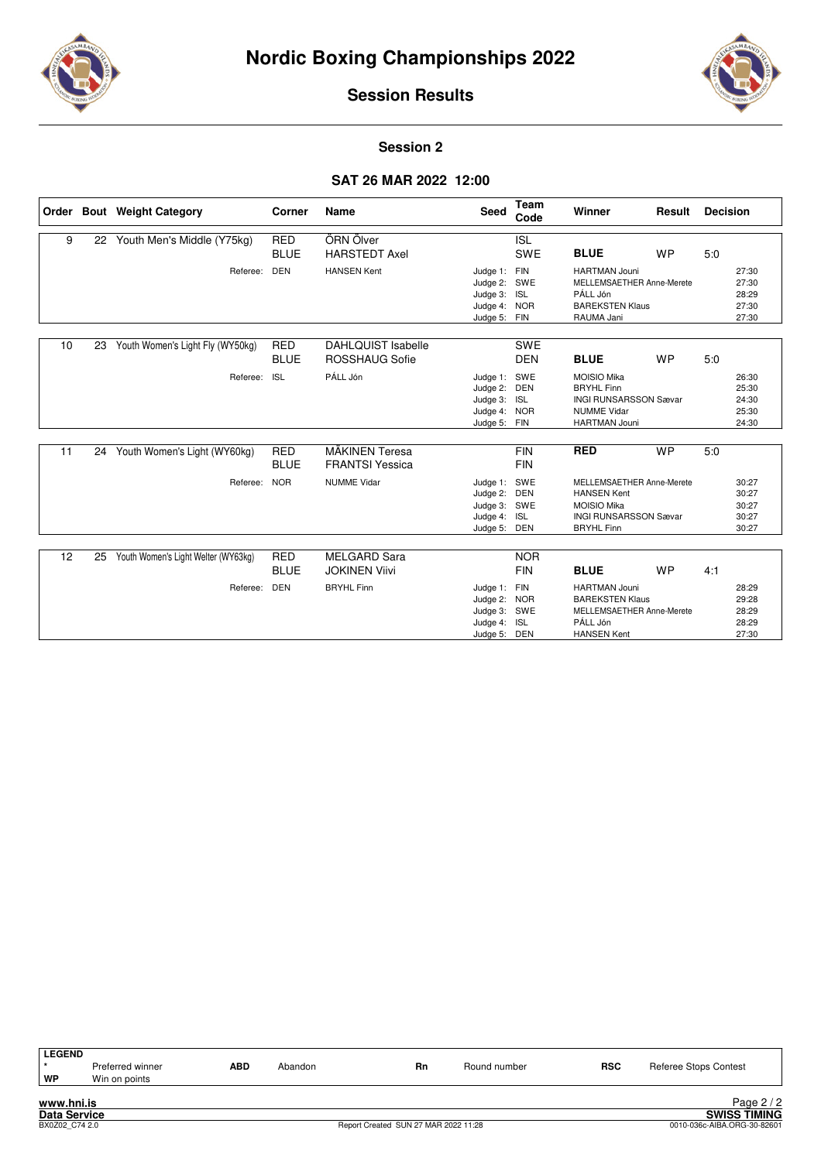



#### **Session 2**

# **SAT 26 MAR 2022 12:00**

|    |    | Order Bout Weight Category          | Corner                    | Name                                        | <b>Seed</b>                                                              | Team<br>Code             | Winner                                                                                                                     | Result    | <b>Decision</b> |                                           |
|----|----|-------------------------------------|---------------------------|---------------------------------------------|--------------------------------------------------------------------------|--------------------------|----------------------------------------------------------------------------------------------------------------------------|-----------|-----------------|-------------------------------------------|
| 9  | 22 | Youth Men's Middle (Y75kg)          | <b>RED</b><br><b>BLUE</b> | ÖRN Ölver<br><b>HARSTEDT Axel</b>           |                                                                          | <b>ISL</b><br><b>SWE</b> | <b>BLUE</b>                                                                                                                | <b>WP</b> | 5.0             |                                           |
|    |    | Referee:                            | <b>DEN</b>                | <b>HANSEN Kent</b>                          | Judge 1: FIN<br>Judge 2: SWE<br>Judge 3: ISL<br>Judge 4:<br>Judge 5: FIN | <b>NOR</b>               | <b>HARTMAN Jouni</b><br>MELLEMSAETHER Anne-Merete<br>PÁLL Jón<br><b>BAREKSTEN Klaus</b><br>RAUMA Jani                      |           |                 | 27:30<br>27:30<br>28:29<br>27:30<br>27:30 |
| 10 | 23 | Youth Women's Light Fly (WY50kg)    | <b>RED</b><br><b>BLUE</b> | <b>DAHLQUIST Isabelle</b><br>ROSSHAUG Sofie |                                                                          | <b>SWE</b><br><b>DEN</b> | <b>BLUE</b>                                                                                                                | <b>WP</b> | 5:0             |                                           |
|    |    | Referee:                            | <b>ISL</b>                | PÁLL Jón                                    | Judge 1:<br>Judge 2:<br>Judge 3: ISL<br>Judge 4: NOR<br>Judge 5: FIN     | SWE<br>DEN               | <b>MOISIO Mika</b><br><b>BRYHL Finn</b><br><b>INGI RUNSARSSON Sævar</b><br><b>NUMME Vidar</b><br><b>HARTMAN Jouni</b>      |           |                 | 26:30<br>25:30<br>24:30<br>25:30<br>24:30 |
| 11 |    | 24 Youth Women's Light (WY60kg)     | <b>RED</b><br><b>BLUE</b> | MÄKINEN Teresa<br><b>FRANTSI Yessica</b>    |                                                                          | <b>FIN</b><br><b>FIN</b> | <b>RED</b>                                                                                                                 | <b>WP</b> | 5.0             |                                           |
|    |    | Referee:                            | <b>NOR</b>                | <b>NUMME Vidar</b>                          | Judge 1: SWE<br>Judge 2: DEN<br>Judge 3: SWE<br>Judge 4:<br>Judge 5: DEN | <b>ISL</b>               | MELLEMSAETHER Anne-Merete<br><b>HANSEN Kent</b><br><b>MOISIO Mika</b><br><b>INGI RUNSARSSON Sævar</b><br><b>BRYHL Finn</b> |           |                 | 30:27<br>30:27<br>30:27<br>30:27<br>30:27 |
| 12 | 25 | Youth Women's Light Welter (WY63kg) | <b>RED</b><br><b>BLUE</b> | <b>MELGARD Sara</b><br><b>JOKINEN Viivi</b> |                                                                          | <b>NOR</b><br><b>FIN</b> | <b>BLUE</b>                                                                                                                | <b>WP</b> | 4:1             |                                           |
|    |    | Referee:                            | <b>DEN</b>                | <b>BRYHL Finn</b>                           | Judge 1:<br>Judge 2: NOR<br>Judge 3: SWE<br>Judge 4:<br>Judge 5: DEN     | FIN<br>ISL               | <b>HARTMAN Jouni</b><br><b>BAREKSTEN Klaus</b><br>MELLEMSAETHER Anne-Merete<br>PÁLL Jón<br><b>HANSEN Kent</b>              |           |                 | 28:29<br>29:28<br>28:29<br>28:29<br>27:30 |

| <b>LEGEND</b><br>WP | Preferred winner<br>Win on points | ABD | Abandon | <b>Rn</b> | Round number | <b>RSC</b> | <b>Referee Stops Contest</b> |
|---------------------|-----------------------------------|-----|---------|-----------|--------------|------------|------------------------------|
| www.hni.is          |                                   |     |         |           |              |            | Page $2/2$                   |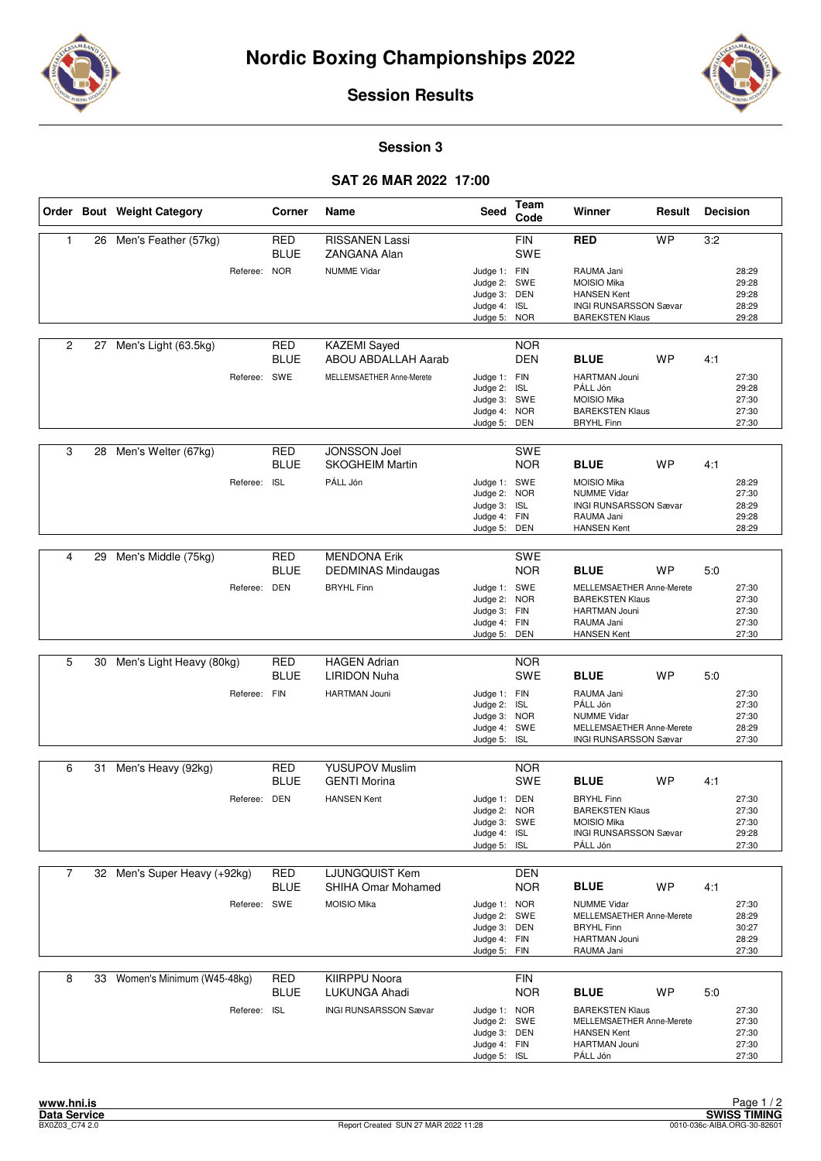



### **Session 3**

# **SAT 26 MAR 2022 17:00**

|                         |    | Order Bout Weight Category   |              | Corner                    | Name                                              | <b>Seed</b>                                                                  | Team<br>Code             | Winner                                                                                                           | Result    | <b>Decision</b> |                                           |
|-------------------------|----|------------------------------|--------------|---------------------------|---------------------------------------------------|------------------------------------------------------------------------------|--------------------------|------------------------------------------------------------------------------------------------------------------|-----------|-----------------|-------------------------------------------|
| 1                       |    | 26 Men's Feather (57kg)      |              | <b>RED</b><br><b>BLUE</b> | <b>RISSANEN Lassi</b><br><b>ZANGANA Alan</b>      |                                                                              | <b>FIN</b><br><b>SWE</b> | <b>RED</b>                                                                                                       | <b>WP</b> | 3:2             |                                           |
|                         |    |                              | Referee: NOR |                           | <b>NUMME Vidar</b>                                | Judge 1: FIN<br>Judge 2: SWE<br>Judge 3: DEN<br>Judge 4: ISL<br>Judge 5: NOR |                          | RAUMA Jani<br><b>MOISIO Mika</b><br><b>HANSEN Kent</b><br><b>INGI RUNSARSSON Sævar</b><br><b>BAREKSTEN Klaus</b> |           |                 | 28:29<br>29:28<br>29:28<br>28:29<br>29:28 |
| $\overline{2}$          | 27 | Men's Light (63.5kg)         |              | <b>RED</b><br>BLUE        | <b>KAZEMI</b> Sayed<br><b>ABOU ABDALLAH Aarab</b> |                                                                              | <b>NOR</b><br><b>DEN</b> | <b>BLUE</b>                                                                                                      | <b>WP</b> | 4:1             |                                           |
|                         |    |                              | Referee: SWE |                           | MELLEMSAETHER Anne-Merete                         | Judge 1: FIN<br>Judge 2:<br>Judge 3: SWE<br>Judge 4: NOR<br>Judge 5: DEN     | <b>ISL</b>               | <b>HARTMAN Jouni</b><br>PÁLL Jón<br><b>MOISIO Mika</b><br><b>BAREKSTEN Klaus</b><br><b>BRYHL Finn</b>            |           |                 | 27:30<br>29:28<br>27:30<br>27:30<br>27:30 |
| 3                       | 28 | Men's Welter (67kg)          |              | <b>RED</b><br>BLUE        | <b>JONSSON Joel</b><br><b>SKOGHEIM Martin</b>     |                                                                              | <b>SWE</b><br><b>NOR</b> | <b>BLUE</b>                                                                                                      | WP        | 4:1             |                                           |
|                         |    |                              | Referee:     | <b>ISL</b>                | PÁLL Jón                                          | Judge 1: SWE<br>Judge 2: NOR<br>Judge 3:<br>Judge 4: FIN<br>Judge 5:         | <b>ISL</b><br>DEN        | <b>MOISIO Mika</b><br><b>NUMME Vidar</b><br><b>INGI RUNSARSSON Sævar</b><br>RAUMA Jani<br><b>HANSEN Kent</b>     |           |                 | 28:29<br>27:30<br>28:29<br>29:28<br>28:29 |
|                         |    |                              |              |                           |                                                   |                                                                              |                          |                                                                                                                  |           |                 |                                           |
| $\overline{\mathbf{4}}$ | 29 | Men's Middle (75kg)          |              | <b>RED</b><br><b>BLUE</b> | <b>MENDONA Erik</b><br><b>DEDMINAS Mindaugas</b>  |                                                                              | <b>SWE</b><br><b>NOR</b> | <b>BLUE</b>                                                                                                      | <b>WP</b> | 5:0             |                                           |
|                         |    |                              | Referee: DEN |                           | <b>BRYHL Finn</b>                                 | Judge 1: SWE<br>Judge 2: NOR<br>Judge 3: FIN<br>Judge 4: FIN<br>Judge 5: DEN |                          | MELLEMSAETHER Anne-Merete<br><b>BAREKSTEN Klaus</b><br><b>HARTMAN Jouni</b><br>RAUMA Jani<br><b>HANSEN Kent</b>  |           |                 | 27:30<br>27:30<br>27:30<br>27:30<br>27:30 |
|                         |    |                              |              |                           |                                                   |                                                                              |                          |                                                                                                                  |           |                 |                                           |
| 5                       | 30 | Men's Light Heavy (80kg)     |              | <b>RED</b><br>BLUE        | <b>HAGEN Adrian</b><br><b>LIRIDON Nuha</b>        |                                                                              | <b>NOR</b><br><b>SWE</b> | <b>BLUE</b>                                                                                                      | <b>WP</b> | 5:0             |                                           |
|                         |    |                              | Referee: FIN |                           | <b>HARTMAN Jouni</b>                              | Judge 1: FIN<br>Judge 2: ISL<br>Judge 3: NOR<br>Judge 4: SWE<br>Judge 5: ISL |                          | RAUMA Jani<br>PÁLL Jón<br><b>NUMME Vidar</b><br>MELLEMSAETHER Anne-Merete<br><b>INGI RUNSARSSON Sævar</b>        |           |                 | 27:30<br>27:30<br>27:30<br>28:29<br>27:30 |
| 6                       | 31 | Men's Heavy (92kg)           |              | RED                       | <b>YUSUPOV Muslim</b>                             |                                                                              | <b>NOR</b>               |                                                                                                                  |           |                 |                                           |
|                         |    |                              |              | <b>BLUE</b>               | <b>GENTI Morina</b>                               |                                                                              | <b>SWE</b>               | <b>BLUE</b>                                                                                                      | <b>WP</b> | 4:1             |                                           |
|                         |    |                              | Referee: DEN |                           | <b>HANSEN Kent</b>                                | Judge 1: DEN<br>Judge 2: NOR<br>Judge 3: SWE<br>Judge 4: ISL<br>Judge 5: ISL |                          | <b>BRYHL Finn</b><br><b>BAREKSTEN Klaus</b><br><b>MOISIO Mika</b><br><b>INGI RUNSARSSON Sævar</b><br>PÁLL Jón    |           |                 | 27:30<br>27:30<br>27:30<br>29:28<br>27:30 |
| $\overline{7}$          |    | 32 Men's Super Heavy (+92kg) |              | RED<br><b>BLUE</b>        | <b>LJUNGQUIST Kem</b><br>SHIHA Omar Mohamed       |                                                                              | DEN<br><b>NOR</b>        | <b>BLUE</b>                                                                                                      | WP        | 4:1             |                                           |
|                         |    |                              | Referee: SWE |                           | MOISIO Mika                                       | Judge 1: NOR<br>Judge 2: SWE<br>Judge 3: DEN<br>Judge 4: FIN<br>Judge 5: FIN |                          | <b>NUMME Vidar</b><br>MELLEMSAETHER Anne-Merete<br><b>BRYHL Finn</b><br>HARTMAN Jouni<br>RAUMA Jani              |           |                 | 27:30<br>28:29<br>30:27<br>28:29<br>27:30 |
| 8                       | 33 | Women's Minimum (W45-48kg)   |              | RED<br><b>BLUE</b>        | <b>KIIRPPU Noora</b><br>LUKUNGA Ahadi             |                                                                              | <b>FIN</b><br><b>NOR</b> | <b>BLUE</b>                                                                                                      | <b>WP</b> | 5:0             |                                           |
|                         |    |                              | Referee: ISL |                           | INGI RUNSARSSON Sævar                             | Judge 1: NOR<br>Judge 2: SWE<br>Judge 3: DEN<br>Judge 4: FIN<br>Judge 5: ISL |                          | <b>BAREKSTEN Klaus</b><br>MELLEMSAETHER Anne-Merete<br><b>HANSEN Kent</b><br>HARTMAN Jouni<br>PÁLL Jón           |           |                 | 27:30<br>27:30<br>27:30<br>27:30<br>27:30 |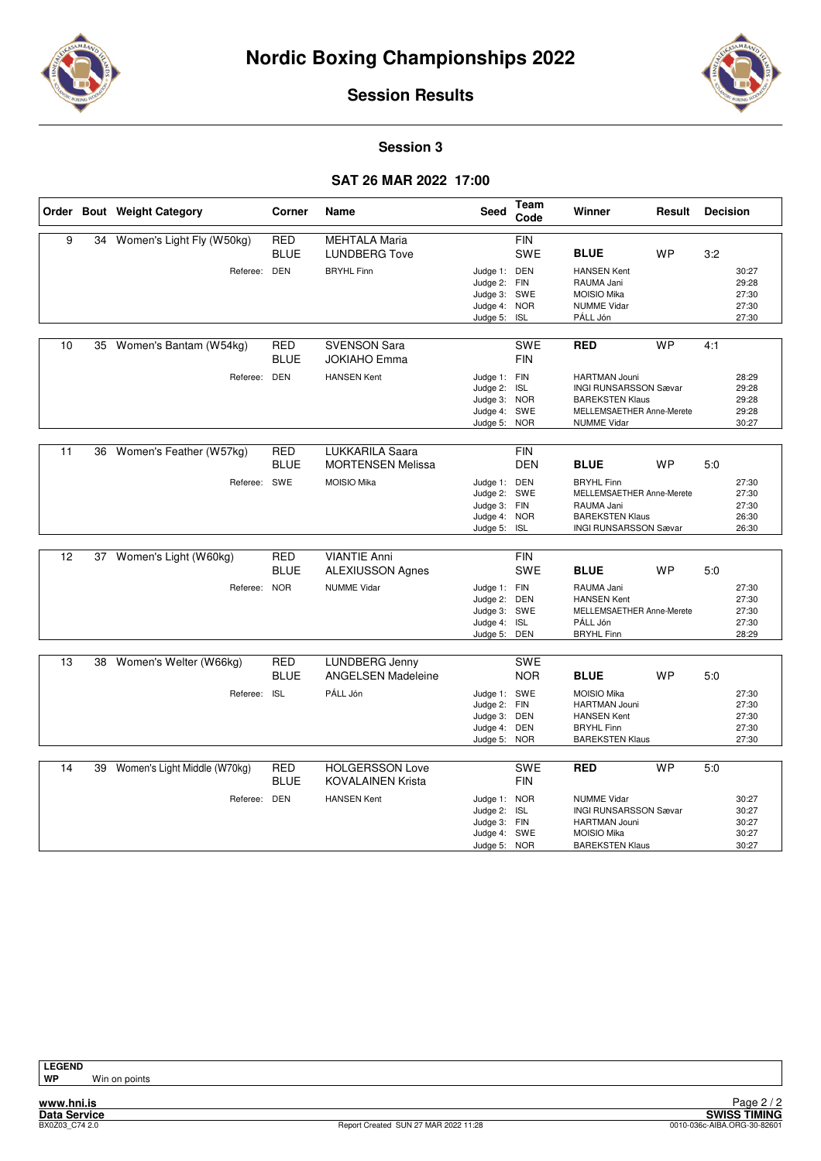



#### **Session 3**

# **SAT 26 MAR 2022 17:00**

|    |    | Order Bout Weight Category   | Corner                    | Name                                               | Seed                                                                         | Team<br>Code             | Winner                                                                                                                            | Result    | <b>Decision</b> |                                           |
|----|----|------------------------------|---------------------------|----------------------------------------------------|------------------------------------------------------------------------------|--------------------------|-----------------------------------------------------------------------------------------------------------------------------------|-----------|-----------------|-------------------------------------------|
| 9  | 34 | Women's Light Fly (W50kg)    | <b>RED</b><br><b>BLUE</b> | <b>MEHTALA Maria</b><br><b>LUNDBERG Tove</b>       |                                                                              | <b>FIN</b><br><b>SWE</b> | <b>BLUE</b>                                                                                                                       | <b>WP</b> | 3:2             |                                           |
|    |    | Referee:                     | <b>DEN</b>                | <b>BRYHL Finn</b>                                  | Judge 1: DEN<br>Judge 2: FIN<br>Judge 3: SWE<br>Judge 4: NOR<br>Judge 5: ISL |                          | <b>HANSEN Kent</b><br>RAUMA Jani<br><b>MOISIO Mika</b><br><b>NUMME Vidar</b><br>PÁLL Jón                                          |           |                 | 30:27<br>29:28<br>27:30<br>27:30<br>27:30 |
| 10 | 35 | Women's Bantam (W54kg)       | RED<br><b>BLUE</b>        | <b>SVENSON Sara</b><br><b>JOKIAHO Emma</b>         |                                                                              | <b>SWE</b><br><b>FIN</b> | <b>RED</b>                                                                                                                        | <b>WP</b> | 4:1             |                                           |
|    |    | Referee: DEN                 |                           | <b>HANSEN Kent</b>                                 | Judge 1: FIN<br>Judge 2: ISL<br>Judge 3: NOR<br>Judge 4: SWE<br>Judge 5: NOR |                          | <b>HARTMAN Jouni</b><br><b>INGI RUNSARSSON Sævar</b><br><b>BAREKSTEN Klaus</b><br>MELLEMSAETHER Anne-Merete<br><b>NUMME Vidar</b> |           |                 | 28:29<br>29:28<br>29:28<br>29:28<br>30:27 |
| 11 |    | 36 Women's Feather (W57kg)   | <b>RED</b><br><b>BLUE</b> | <b>LUKKARILA Saara</b><br><b>MORTENSEN Melissa</b> |                                                                              | <b>FIN</b><br><b>DEN</b> | <b>BLUE</b>                                                                                                                       | <b>WP</b> | 5:0             |                                           |
|    |    | Referee: SWE                 |                           | MOISIO Mika                                        | Judge 1: DEN<br>Judge 2: SWE<br>Judge 3: FIN<br>Judge 4: NOR<br>Judge 5: ISL |                          | <b>BRYHL Finn</b><br>MELLEMSAETHER Anne-Merete<br>RAUMA Jani<br><b>BAREKSTEN Klaus</b><br><b>INGI RUNSARSSON Sævar</b>            |           |                 | 27:30<br>27:30<br>27:30<br>26:30<br>26:30 |
| 12 | 37 | Women's Light (W60kg)        | RED<br><b>BLUE</b>        | <b>VIANTIE Anni</b><br><b>ALEXIUSSON Agnes</b>     |                                                                              | <b>FIN</b><br><b>SWE</b> | <b>BLUE</b>                                                                                                                       | <b>WP</b> | 5:0             |                                           |
|    |    | Referee: NOR                 |                           | <b>NUMME Vidar</b>                                 | Judge 1: FIN<br>Judge 2: DEN<br>Judge 3: SWE<br>Judge 4:<br>Judge 5: DEN     | <b>ISL</b>               | RAUMA Jani<br><b>HANSEN Kent</b><br>MELLEMSAETHER Anne-Merete<br>PÁLL Jón<br><b>BRYHL Finn</b>                                    |           |                 | 27:30<br>27:30<br>27:30<br>27:30<br>28:29 |
| 13 |    | 38 Women's Welter (W66kg)    | <b>RED</b><br><b>BLUE</b> | LUNDBERG Jenny<br><b>ANGELSEN Madeleine</b>        |                                                                              | <b>SWE</b><br><b>NOR</b> | <b>BLUE</b>                                                                                                                       | <b>WP</b> | 5:0             |                                           |
|    |    | Referee: ISL                 |                           | PÁLL Jón                                           | Judge 1: SWE<br>Judge 2:<br>Judge 3: DEN<br>Judge 4:<br>Judge 5: NOR         | <b>FIN</b><br><b>DEN</b> | <b>MOISIO Mika</b><br>HARTMAN Jouni<br><b>HANSEN Kent</b><br><b>BRYHL Finn</b><br><b>BAREKSTEN Klaus</b>                          |           |                 | 27:30<br>27:30<br>27:30<br>27:30<br>27:30 |
| 14 | 39 | Women's Light Middle (W70kg) | <b>RED</b><br><b>BLUE</b> | <b>HOLGERSSON Love</b><br><b>KOVALAINEN Krista</b> |                                                                              | <b>SWE</b><br><b>FIN</b> | <b>RED</b>                                                                                                                        | <b>WP</b> | 5:0             |                                           |
|    |    | Referee: DEN                 |                           | <b>HANSEN Kent</b>                                 | Judge 1: NOR<br>Judge 2:<br>Judge 3: FIN<br>Judge 4: SWE<br>Judge 5: NOR     | <b>ISL</b>               | <b>NUMME Vidar</b><br><b>INGI RUNSARSSON Sævar</b><br><b>HARTMAN Jouni</b><br><b>MOISIO Mika</b><br><b>BAREKSTEN Klaus</b>        |           |                 | 30:27<br>30:27<br>30:27<br>30:27<br>30:27 |

**Win on points**